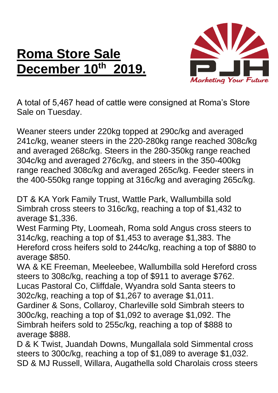## **Roma Store Sale December 10th 2019.**



A total of 5,467 head of cattle were consigned at Roma's Store Sale on Tuesday.

Weaner steers under 220kg topped at 290c/kg and averaged 241c/kg, weaner steers in the 220-280kg range reached 308c/kg and averaged 268c/kg. Steers in the 280-350kg range reached 304c/kg and averaged 276c/kg, and steers in the 350-400kg range reached 308c/kg and averaged 265c/kg. Feeder steers in the 400-550kg range topping at 316c/kg and averaging 265c/kg.

DT & KA York Family Trust, Wattle Park, Wallumbilla sold Simbrah cross steers to 316c/kg, reaching a top of \$1,432 to average \$1,336.

West Farming Pty, Loomeah, Roma sold Angus cross steers to 314c/kg, reaching a top of \$1,453 to average \$1,383. The Hereford cross heifers sold to 244c/kg, reaching a top of \$880 to average \$850.

WA & KE Freeman, Meeleebee, Wallumbilla sold Hereford cross steers to 308c/kg, reaching a top of \$911 to average \$762. Lucas Pastoral Co, Cliffdale, Wyandra sold Santa steers to 302c/kg, reaching a top of \$1,267 to average \$1,011.

Gardiner & Sons, Collaroy, Charleville sold Simbrah steers to 300c/kg, reaching a top of \$1,092 to average \$1,092. The Simbrah heifers sold to 255c/kg, reaching a top of \$888 to average \$888.

D & K Twist, Juandah Downs, Mungallala sold Simmental cross steers to 300c/kg, reaching a top of \$1,089 to average \$1,032. SD & MJ Russell, Willara, Augathella sold Charolais cross steers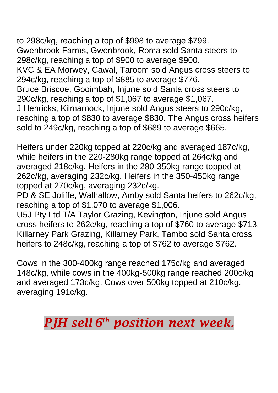to 298c/kg, reaching a top of \$998 to average \$799. Gwenbrook Farms, Gwenbrook, Roma sold Santa steers to 298c/kg, reaching a top of \$900 to average \$900. KVC & EA Morwey, Cawal, Taroom sold Angus cross steers to 294c/kg, reaching a top of \$885 to average \$776. Bruce Briscoe, Gooimbah, Injune sold Santa cross steers to 290c/kg, reaching a top of \$1,067 to average \$1,067. J Henricks, Kilmarnock, Injune sold Angus steers to 290c/kg, reaching a top of \$830 to average \$830. The Angus cross heifers sold to 249c/kg, reaching a top of \$689 to average \$665.

Heifers under 220kg topped at 220c/kg and averaged 187c/kg, while heifers in the 220-280kg range topped at 264c/kg and averaged 218c/kg. Heifers in the 280-350kg range topped at 262c/kg, averaging 232c/kg. Heifers in the 350-450kg range topped at 270c/kg, averaging 232c/kg.

PD & SE Joliffe, Walhallow, Amby sold Santa heifers to 262c/kg, reaching a top of \$1,070 to average \$1,006.

U5J Pty Ltd T/A Taylor Grazing, Kevington, Injune sold Angus cross heifers to 262c/kg, reaching a top of \$760 to average \$713. Killarney Park Grazing, Killarney Park, Tambo sold Santa cross heifers to 248c/kg, reaching a top of \$762 to average \$762.

Cows in the 300-400kg range reached 175c/kg and averaged 148c/kg, while cows in the 400kg-500kg range reached 200c/kg and averaged 173c/kg. Cows over 500kg topped at 210c/kg, averaging 191c/kg.

*PJH sell 6 th position next week.*